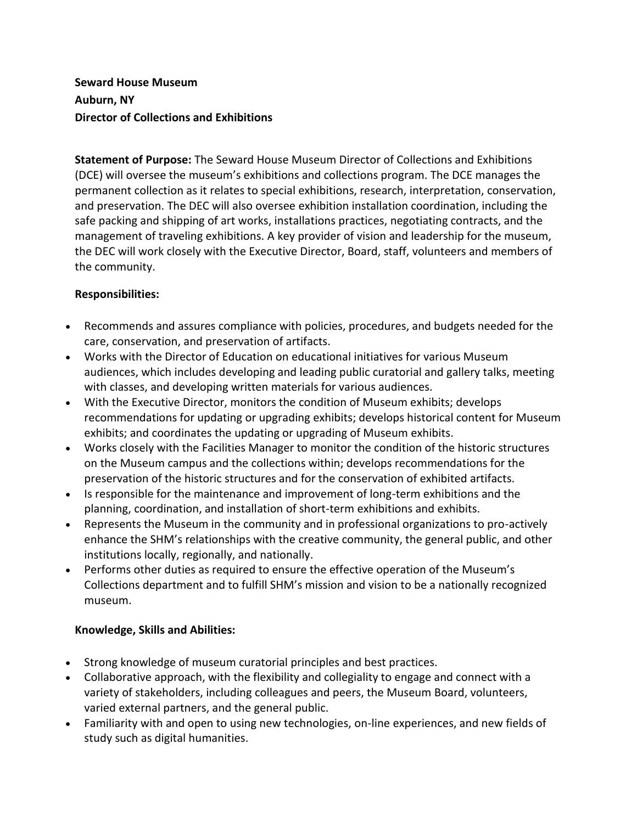# **Seward House Museum Auburn, NY Director of Collections and Exhibitions**

**Statement of Purpose:** The Seward House Museum Director of Collections and Exhibitions (DCE) will oversee the museum's exhibitions and collections program. The DCE manages the permanent collection as it relates to special exhibitions, research, interpretation, conservation, and preservation. The DEC will also oversee exhibition installation coordination, including the safe packing and shipping of art works, installations practices, negotiating contracts, and the management of traveling exhibitions. A key provider of vision and leadership for the museum, the DEC will work closely with the Executive Director, Board, staff, volunteers and members of the community.

# **Responsibilities:**

- Recommends and assures compliance with policies, procedures, and budgets needed for the care, conservation, and preservation of artifacts.
- Works with the Director of Education on educational initiatives for various Museum audiences, which includes developing and leading public curatorial and gallery talks, meeting with classes, and developing written materials for various audiences.
- With the Executive Director, monitors the condition of Museum exhibits; develops recommendations for updating or upgrading exhibits; develops historical content for Museum exhibits; and coordinates the updating or upgrading of Museum exhibits.
- Works closely with the Facilities Manager to monitor the condition of the historic structures on the Museum campus and the collections within; develops recommendations for the preservation of the historic structures and for the conservation of exhibited artifacts.
- Is responsible for the maintenance and improvement of long-term exhibitions and the planning, coordination, and installation of short-term exhibitions and exhibits.
- Represents the Museum in the community and in professional organizations to pro-actively enhance the SHM's relationships with the creative community, the general public, and other institutions locally, regionally, and nationally.
- Performs other duties as required to ensure the effective operation of the Museum's Collections department and to fulfill SHM's mission and vision to be a nationally recognized museum.

# **Knowledge, Skills and Abilities:**

- Strong knowledge of museum curatorial principles and best practices.
- Collaborative approach, with the flexibility and collegiality to engage and connect with a variety of stakeholders, including colleagues and peers, the Museum Board, volunteers, varied external partners, and the general public.
- Familiarity with and open to using new technologies, on-line experiences, and new fields of study such as digital humanities.